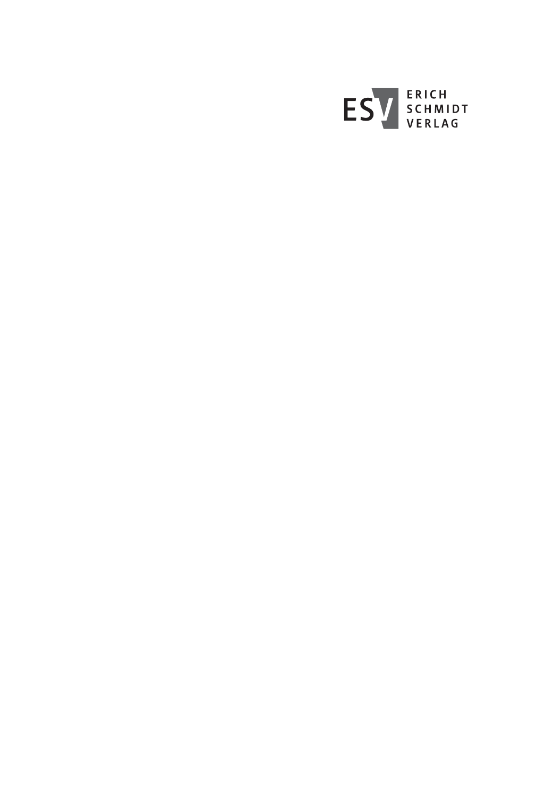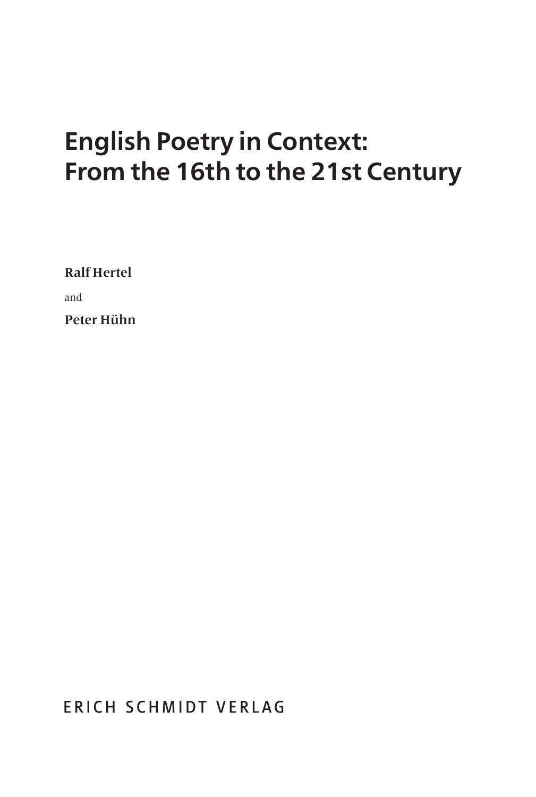# **English Poetry in Context: From the 16th to the 21st Century**

**Ralf Hertel** 

and

**Peter Hühn**

ERICH SCHMIDT VERLAG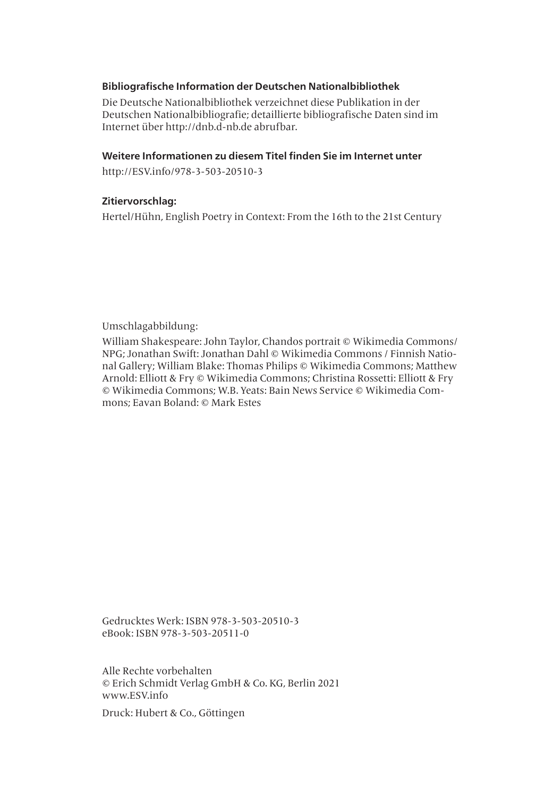#### **Bibliografische Information der Deutschen Nationalbibliothek**

Die Deutsche Nationalbibliothek verzeichnet diese Publikation in der Deutschen Nationalbibliografie; detaillierte bibliografische Daten sind im Internet über http://dnb.d-nb.de abrufbar.

#### **Weitere Informationen zu diesem Titel finden Sie im Internet unter**

http://ESV.info/978-3-503-20510-3

#### **Zitiervorschlag:**

Hertel/Hühn, English Poetry in Context: From the 16th to the 21st Century

Umschlagabbildung:

William Shakespeare: John Taylor, Chandos portrait © Wikimedia Commons/ NPG; Jonathan Swift: Jonathan Dahl © Wikimedia Commons / Finnish National Gallery; William Blake: Thomas Philips © Wikimedia Commons; Matthew Arnold: Elliott & Fry © Wikimedia Commons; Christina Rossetti: Elliott & Fry © Wikimedia Commons; W.B. Yeats: Bain News Service © Wikimedia Commons; Eavan Boland: © Mark Estes

Gedrucktes Werk: ISBN 978-3-503-20510-3 eBook: ISBN 978-3-503-20511-0

Alle Rechte vorbehalten © Erich Schmidt Verlag GmbH & Co. KG, Berlin 2021 www.ESV.info

Druck: Hubert & Co., Göttingen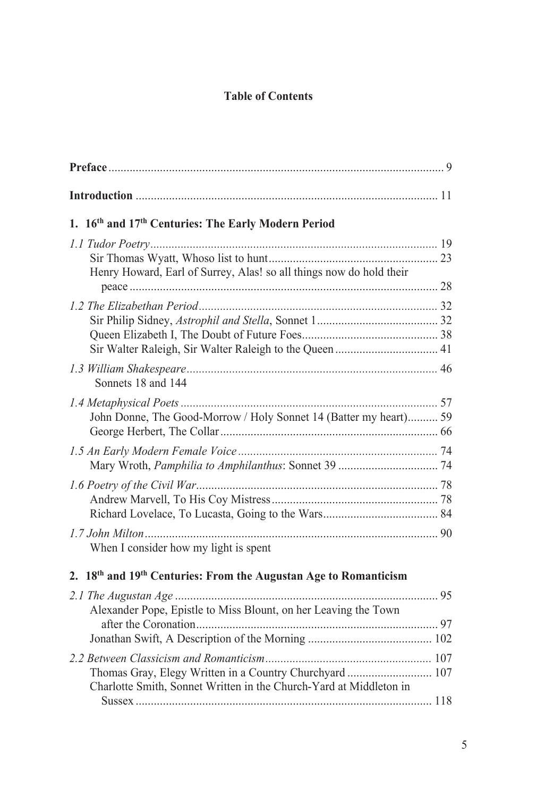## **Table of Contents**

| 1. 16 <sup>th</sup> and 17 <sup>th</sup> Centuries: The Early Modern Period |  |
|-----------------------------------------------------------------------------|--|
|                                                                             |  |
| Henry Howard, Earl of Surrey, Alas! so all things now do hold their         |  |
|                                                                             |  |
|                                                                             |  |
|                                                                             |  |
|                                                                             |  |
|                                                                             |  |
| Sonnets 18 and 144                                                          |  |
|                                                                             |  |
| John Donne, The Good-Morrow / Holy Sonnet 14 (Batter my heart) 59           |  |
|                                                                             |  |
|                                                                             |  |
|                                                                             |  |
|                                                                             |  |
|                                                                             |  |
|                                                                             |  |
|                                                                             |  |
| When I consider how my light is spent                                       |  |
| 2. 18th and 19th Centuries: From the Augustan Age to Romanticism            |  |
|                                                                             |  |
| Alexander Pope, Epistle to Miss Blount, on her Leaving the Town             |  |
|                                                                             |  |
|                                                                             |  |
|                                                                             |  |
|                                                                             |  |
| Charlotte Smith, Sonnet Written in the Church-Yard at Middleton in          |  |
|                                                                             |  |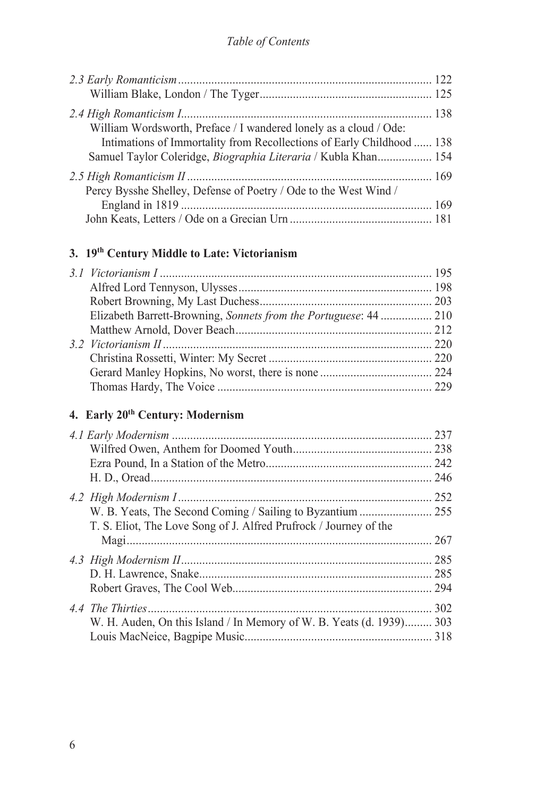#### *Table of Contents*

| William Wordsworth, Preface / I wandered lonely as a cloud / Ode:     |  |
|-----------------------------------------------------------------------|--|
| Intimations of Immortality from Recollections of Early Childhood  138 |  |
| Samuel Taylor Coleridge, <i>Biographia Literaria</i> / Kubla Khan 154 |  |
|                                                                       |  |
| Percy Bysshe Shelley, Defense of Poetry / Ode to the West Wind /      |  |
|                                                                       |  |
|                                                                       |  |

# **3. 19th Century Middle to Late: Victorianism**

| Elizabeth Barrett-Browning, Sonnets from the Portuguese: 44  210 |  |
|------------------------------------------------------------------|--|
|                                                                  |  |
|                                                                  |  |
|                                                                  |  |
|                                                                  |  |
|                                                                  |  |
|                                                                  |  |

# **4. Early 20th Century: Modernism**

|                                                                      | 242 |
|----------------------------------------------------------------------|-----|
|                                                                      | 246 |
|                                                                      | 252 |
|                                                                      |     |
| T. S. Eliot, The Love Song of J. Alfred Prufrock / Journey of the    |     |
|                                                                      |     |
|                                                                      |     |
|                                                                      |     |
|                                                                      |     |
|                                                                      | 302 |
| W. H. Auden, On this Island / In Memory of W. B. Yeats (d. 1939) 303 |     |
|                                                                      |     |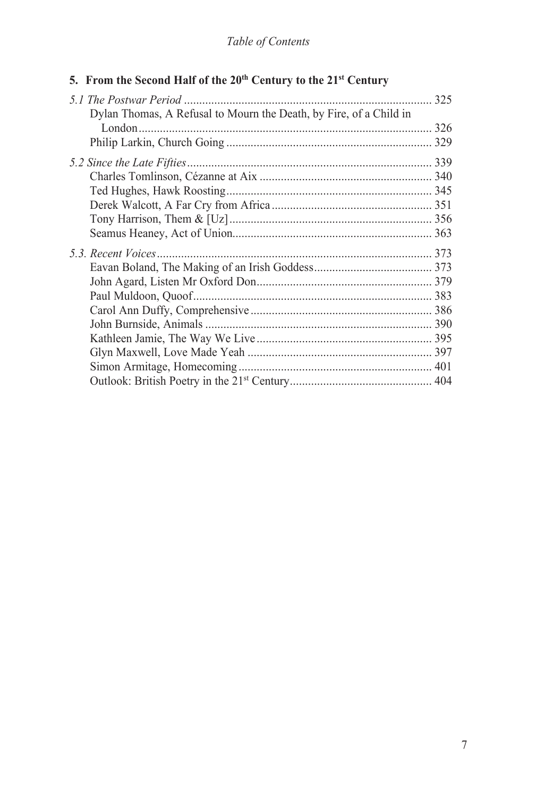## *Table of Contents*

|  |  |  |  |  |  |  |  | 5. From the Second Half of the 20th Century to the 21st Century |  |  |  |  |  |
|--|--|--|--|--|--|--|--|-----------------------------------------------------------------|--|--|--|--|--|
|--|--|--|--|--|--|--|--|-----------------------------------------------------------------|--|--|--|--|--|

| Dylan Thomas, A Refusal to Mourn the Death, by Fire, of a Child in |  | 325 |
|--------------------------------------------------------------------|--|-----|
|                                                                    |  |     |
|                                                                    |  |     |
|                                                                    |  |     |
|                                                                    |  |     |
|                                                                    |  |     |
|                                                                    |  |     |
|                                                                    |  |     |
|                                                                    |  |     |
|                                                                    |  |     |
|                                                                    |  |     |
|                                                                    |  |     |
|                                                                    |  |     |
|                                                                    |  |     |
|                                                                    |  |     |
|                                                                    |  |     |
|                                                                    |  |     |
|                                                                    |  |     |
|                                                                    |  |     |
|                                                                    |  |     |